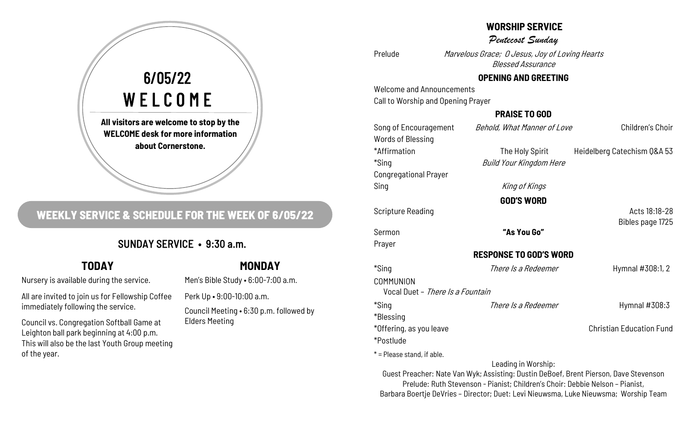### **WORSHIP SERVICE**

Pentecost Sunday

Prelude Marvelous Grace; O Jesus, Joy of Loving Hearts Blessed Assurance

### **OPENING AND GREETING**

Welcome and Announcements Call to Worship and Opening Prayer

### **PRAISE TO GOD**

| Song of Encouragement            | Behold, What Manner of Love   | Children's Choir                |
|----------------------------------|-------------------------------|---------------------------------|
| <b>Words of Blessing</b>         |                               |                                 |
| *Affirmation                     | The Holy Spirit               | Heidelberg Catechism Q&A 53     |
| *Sing                            | Build Your Kingdom Here       |                                 |
| <b>Congregational Prayer</b>     |                               |                                 |
| Sing                             | King of Kings                 |                                 |
|                                  | <b>GOD'S WORD</b>             |                                 |
| <b>Scripture Reading</b>         |                               | Acts 18:18-28                   |
|                                  |                               | Bibles page 1725                |
| Sermon                           | "As You Go"                   |                                 |
| Prayer                           |                               |                                 |
|                                  | <b>RESPONSE TO GOD'S WORD</b> |                                 |
| *Sing                            | There Is a Redeemer           | Hymnal #308:1, 2                |
| COMMUNION                        |                               |                                 |
| Vocal Duet - There Is a Fountain |                               |                                 |
| *Sing                            | There Is a Redeemer           | Hymnal #308:3                   |
| *Blessing                        |                               |                                 |
| *Offering, as you leave          |                               | <b>Christian Education Fund</b> |
| *Postlude                        |                               |                                 |
| $*$ = Please stand, if able.     |                               |                                 |
|                                  | Leading in Worship:           |                                 |

Guest Preacher: Nate Van Wyk; Assisting: Dustin DeBoef, Brent Pierson, Dave Stevenson

Prelude: Ruth Stevenson - Pianist; Children's Choir: Debbie Nelson – Pianist, Barbara Boertje DeVries – Director; Duet: Levi Nieuwsma, Luke Nieuwsma; Worship Team

**All visitors are welcome to stop by the**  6/05/22 WELCOME

**WELCOME desk for more information about Cornerstone.** 

## **WEEKLY SERVICE & SCHEDULE FOR THE WEEK OF 6/05/22**

## SUNDAY SERVICE • 9:30 a.m.

# **TODAY**

Nursery is available during the service.

All are invited to join us for Fellowship Coffee immediately following the service.

Council vs. Congregation Softball Game at Leighton ball park beginning at 4:00 p.m. This will also be the last Youth Group meeting of the year.

## **MONDAY**

Men's Bible Study • 6:00-7:00 a.m.

Perk Up • 9:00-10:00 a.m.

Council Meeting • 6:30 p.m. followed by Elders Meeting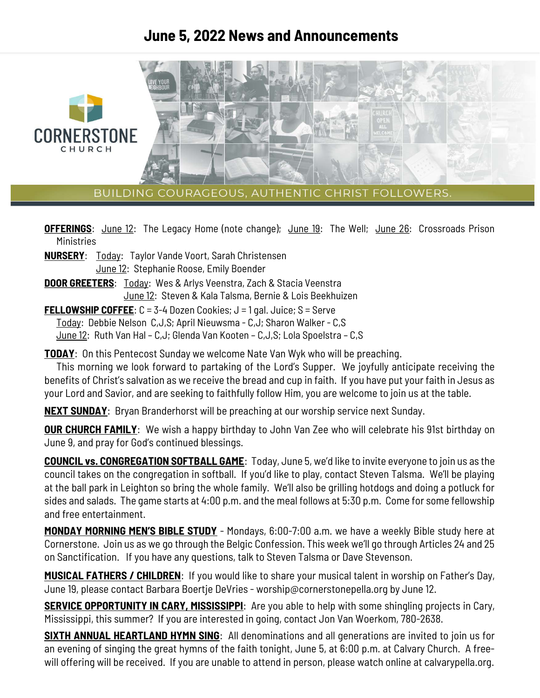## **June 5, 2022 News and Announcements**



BUILDING COURAGEOUS, AUTHENTIC CHRIST FOLLOWERS.

**OFFERINGS**: June 12: The Legacy Home (note change); June 19: The Well; June 26: Crossroads Prison **Ministries** 

- **NURSERY**: Today: Taylor Vande Voort, Sarah Christensen June 12: Stephanie Roose, Emily Boender
- **DOOR GREETERS**: Today: Wes & Arlys Veenstra, Zach & Stacia Veenstra June 12: Steven & Kala Talsma, Bernie & Lois Beekhuizen
- **FELLOWSHIP COFFEE**: C = 3-4 Dozen Cookies; J = 1 gal. Juice; S = Serve

Today: Debbie Nelson C,J,S; April Nieuwsma - C,J; Sharon Walker - C,S

June 12: Ruth Van Hal – C,J; Glenda Van Kooten – C,J,S; Lola Spoelstra – C,S

**TODAY**: On this Pentecost Sunday we welcome Nate Van Wyk who will be preaching.

 This morning we look forward to partaking of the Lord's Supper. We joyfully anticipate receiving the benefits of Christ's salvation as we receive the bread and cup in faith. If you have put your faith in Jesus as your Lord and Savior, and are seeking to faithfully follow Him, you are welcome to join us at the table.

**NEXT SUNDAY**: Bryan Branderhorst will be preaching at our worship service next Sunday.

**OUR CHURCH FAMILY:** We wish a happy birthday to John Van Zee who will celebrate his 91st birthday on June 9, and pray for God's continued blessings.

**COUNCIL vs. CONGREGATION SOFTBALL GAME**: Today, June 5, we'd like to invite everyone to join us as the council takes on the congregation in softball. If you'd like to play, contact Steven Talsma. We'll be playing at the ball park in Leighton so bring the whole family. We'll also be grilling hotdogs and doing a potluck for sides and salads. The game starts at 4:00 p.m. and the meal follows at 5:30 p.m. Come for some fellowship and free entertainment.

**MONDAY MORNING MEN'S BIBLE STUDY** - Mondays, 6:00-7:00 a.m. we have a weekly Bible study here at Cornerstone. Join us as we go through the Belgic Confession. This week we'll go through Articles 24 and 25 on Sanctification. If you have any questions, talk to Steven Talsma or Dave Stevenson.

**MUSICAL FATHERS / CHILDREN**: If you would like to share your musical talent in worship on Father's Day, June 19, please contact Barbara Boertje DeVries - worship@cornerstonepella.org by June 12.

**SERVICE OPPORTUNITY IN CARY, MISSISSIPPI**: Are you able to help with some shingling projects in Cary, Mississippi, this summer? If you are interested in going, contact Jon Van Woerkom, 780-2638.

**SIXTH ANNUAL HEARTLAND HYMN SING**: All denominations and all generations are invited to join us for an evening of singing the great hymns of the faith tonight, June 5, at 6:00 p.m. at Calvary Church. A freewill offering will be received. If you are unable to attend in person, please watch online at calvarypella.org.